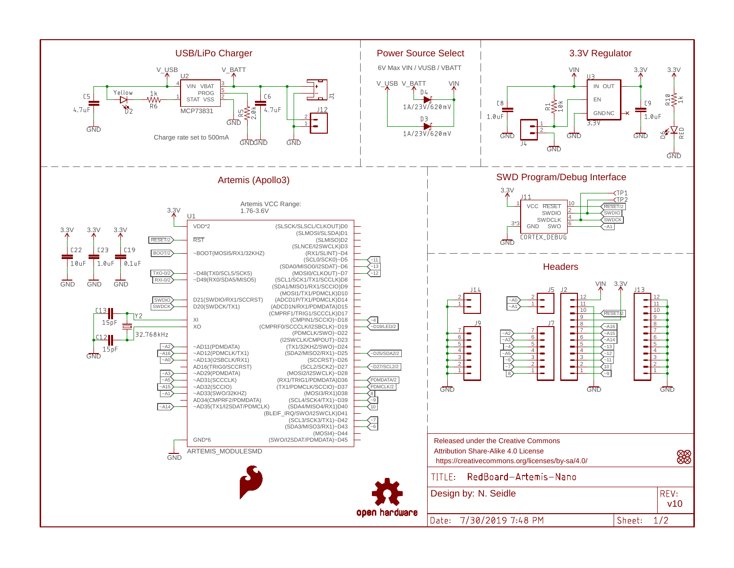